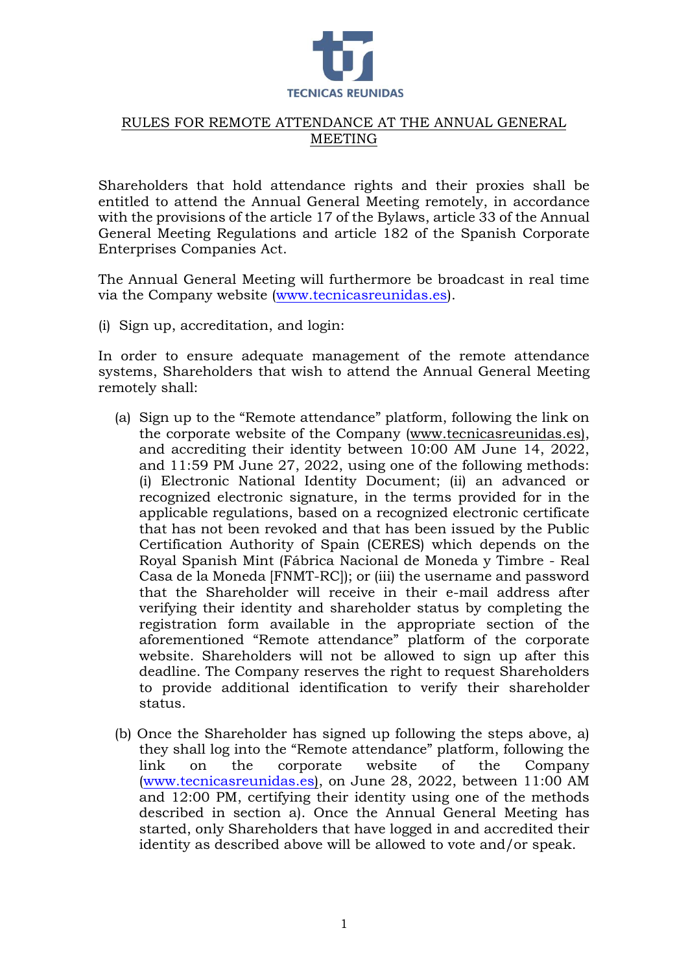

# RULES FOR REMOTE ATTENDANCE AT THE ANNUAL GENERAL MEETING

Shareholders that hold attendance rights and their proxies shall be entitled to attend the Annual General Meeting remotely, in accordance with the provisions of the article 17 of the Bylaws, article 33 of the Annual General Meeting Regulations and article 182 of the Spanish Corporate Enterprises Companies Act.

The Annual General Meeting will furthermore be broadcast in real time via the Company website [\(www.tecnicasreunidas.es\)](http://www.tecnicasreunidas.es/).

(i) Sign up, accreditation, and login:

In order to ensure adequate management of the remote attendance systems, Shareholders that wish to attend the Annual General Meeting remotely shall:

- (a) Sign up to the "Remote attendance" platform, following the link on the corporate website of the Company (www.tecnicasreunidas.es), and accrediting their identity between 10:00 AM June 14, 2022, and 11:59 PM June 27, 2022, using one of the following methods: (i) Electronic National Identity Document; (ii) an advanced or recognized electronic signature, in the terms provided for in the applicable regulations, based on a recognized electronic certificate that has not been revoked and that has been issued by the Public Certification Authority of Spain (CERES) which depends on the Royal Spanish Mint (Fábrica Nacional de Moneda y Timbre - Real Casa de la Moneda [FNMT-RC]); or (iii) the username and password that the Shareholder will receive in their e-mail address after verifying their identity and shareholder status by completing the registration form available in the appropriate section of the aforementioned "Remote attendance" platform of the corporate website. Shareholders will not be allowed to sign up after this deadline. The Company reserves the right to request Shareholders to provide additional identification to verify their shareholder status.
- (b) Once the Shareholder has signed up following the steps above, a) they shall log into the "Remote attendance" platform, following the link on the corporate website of the Company [\(www.tecnicasreunidas.es\)](http://www.tecnicasreunidas.es/), on June 28, 2022, between 11:00 AM and 12:00 PM, certifying their identity using one of the methods described in section a). Once the Annual General Meeting has started, only Shareholders that have logged in and accredited their identity as described above will be allowed to vote and/or speak.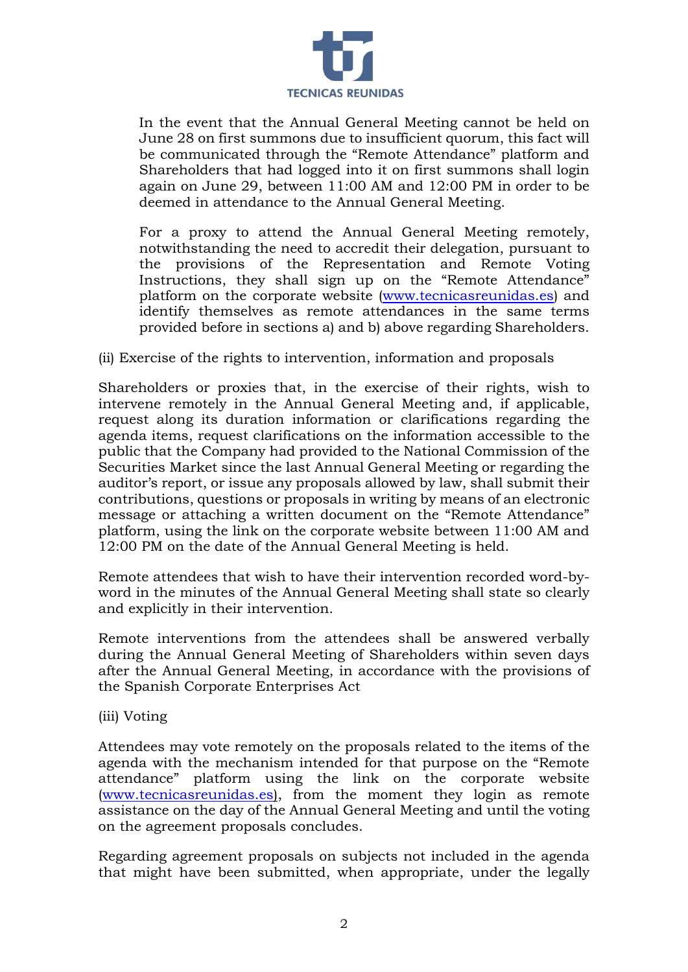

In the event that the Annual General Meeting cannot be held on June 28 on first summons due to insufficient quorum, this fact will be communicated through the "Remote Attendance" platform and Shareholders that had logged into it on first summons shall login again on June 29, between 11:00 AM and 12:00 PM in order to be deemed in attendance to the Annual General Meeting.

For a proxy to attend the Annual General Meeting remotely, notwithstanding the need to accredit their delegation, pursuant to the provisions of the Representation and Remote Voting Instructions, they shall sign up on the "Remote Attendance" platform on the corporate website [\(www.tecnicasreunidas.es\)](http://www.tecnicasreunidas.es/) and identify themselves as remote attendances in the same terms provided before in sections a) and b) above regarding Shareholders.

# (ii) Exercise of the rights to intervention, information and proposals

Shareholders or proxies that, in the exercise of their rights, wish to intervene remotely in the Annual General Meeting and, if applicable, request along its duration information or clarifications regarding the agenda items, request clarifications on the information accessible to the public that the Company had provided to the National Commission of the Securities Market since the last Annual General Meeting or regarding the auditor's report, or issue any proposals allowed by law, shall submit their contributions, questions or proposals in writing by means of an electronic message or attaching a written document on the "Remote Attendance" platform, using the link on the corporate website between 11:00 AM and 12:00 PM on the date of the Annual General Meeting is held.

Remote attendees that wish to have their intervention recorded word-byword in the minutes of the Annual General Meeting shall state so clearly and explicitly in their intervention.

Remote interventions from the attendees shall be answered verbally during the Annual General Meeting of Shareholders within seven days after the Annual General Meeting, in accordance with the provisions of the Spanish Corporate Enterprises Act

## (iii) Voting

Attendees may vote remotely on the proposals related to the items of the agenda with the mechanism intended for that purpose on the "Remote attendance" platform using the link on the corporate website [\(www.tecnicasreunidas.es\)](http://www.tecnicasreunidas.es/), from the moment they login as remote assistance on the day of the Annual General Meeting and until the voting on the agreement proposals concludes.

Regarding agreement proposals on subjects not included in the agenda that might have been submitted, when appropriate, under the legally